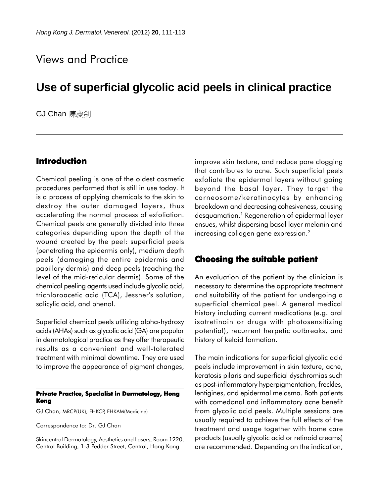# Views and Practice

# **Use of superficial glycolic acid peels in clinical practice**

**GJ Chan** 陳慶刹

### **Introduction**

Chemical peeling is one of the oldest cosmetic procedures performed that is still in use today. It is a process of applying chemicals to the skin to destroy the outer damaged layers, thus accelerating the normal process of exfoliation. Chemical peels are generally divided into three categories depending upon the depth of the wound created by the peel: superficial peels (penetrating the epidermis only), medium depth peels (damaging the entire epidermis and papillary dermis) and deep peels (reaching the level of the mid-reticular dermis). Some of the chemical peeling agents used include glycolic acid, trichloroacetic acid (TCA), Jessner's solution, salicylic acid, and phenol.

Superficial chemical peels utilizing alpha-hydroxy acids (AHAs) such as glycolic acid (GA) are popular in dermatological practice as they offer therapeutic results as a convenient and well-tolerated treatment with minimal downtime. They are used to improve the appearance of pigment changes,

#### **Private Practice, Specialist in Dermatology, Hong Kong**

GJ Chan, MRCP(UK), FHKCP, FHKAM(Medicine)

Correspondence to: Dr. GJ Chan

Skincentral Dermatology, Aesthetics and Lasers, Room 1220, Central Building, 1-3 Pedder Street, Central, Hong Kong

improve skin texture, and reduce pore clogging that contributes to acne. Such superficial peels exfoliate the epidermal layers without going beyond the basal layer. They target the corneosome/keratinocytes by enhancing breakdown and decreasing cohesiveness, causing desquamation.1 Regeneration of epidermal layer ensues, whilst dispersing basal layer melanin and increasing collagen gene expression.2

### **Choosing the suitable patient Choosing the**

An evaluation of the patient by the clinician is necessary to determine the appropriate treatment and suitability of the patient for undergoing a superficial chemical peel. A general medical history including current medications (e.g. oral isotretinoin or drugs with photosensitizing potential), recurrent herpetic outbreaks, and history of keloid formation.

The main indications for superficial glycolic acid peels include improvement in skin texture, acne, keratosis pilaris and superficial dyschromias such as post-inflammatory hyperpigmentation, freckles, lentigines, and epidermal melasma. Both patients with comedonal and inflammatory acne benefit from glycolic acid peels. Multiple sessions are usually required to achieve the full effects of the treatment and usage together with home care products (usually glycolic acid or retinoid creams) are recommended. Depending on the indication,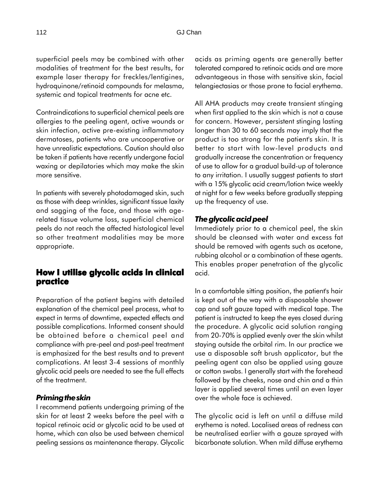superficial peels may be combined with other modalities of treatment for the best results, for example laser therapy for freckles/lentigines, hydroquinone/retinoid compounds for melasma, systemic and topical treatments for acne etc.

Contraindications to superficial chemical peels are allergies to the peeling agent, active wounds or skin infection, active pre-existing inflammatory dermatoses, patients who are uncooperative or have unrealistic expectations. Caution should also be taken if patients have recently undergone facial waxing or depilatories which may make the skin more sensitive.

In patients with severely photodamaged skin, such as those with deep wrinkles, significant tissue laxity and sagging of the face, and those with agerelated tissue volume loss, superficial chemical peels do not reach the affected histological level so other treatment modalities may be more appropriate.

## **How I utilise glycolic acids in clinical How utilise glycolic acids in clinical practice**

Preparation of the patient begins with detailed explanation of the chemical peel process, what to expect in terms of downtime, expected effects and possible complications. Informed consent should be obtained before a chemical peel and compliance with pre-peel and post-peel treatment is emphasized for the best results and to prevent complications. At least 3-4 sessions of monthly glycolic acid peels are needed to see the full effects of the treatment.

#### *Priming the skin*

I recommend patients undergoing priming of the skin for at least 2 weeks before the peel with a topical retinoic acid or glycolic acid to be used at home, which can also be used between chemical peeling sessions as maintenance therapy. Glycolic

acids as priming agents are generally better tolerated compared to retinoic acids and are more advantageous in those with sensitive skin, facial telangiectasias or those prone to facial erythema.

All AHA products may create transient stinging when first applied to the skin which is not a cause for concern. However, persistent stinging lasting longer than 30 to 60 seconds may imply that the product is too strong for the patient's skin. It is better to start with low-level products and gradually increase the concentration or frequency of use to allow for a gradual build-up of tolerance to any irritation. I usually suggest patients to start with a 15% glycolic acid cream/lotion twice weekly at night for a few weeks before gradually stepping up the frequency of use.

#### *The glycolic acid peel*

Immediately prior to a chemical peel, the skin should be cleansed with water and excess fat should be removed with agents such as acetone, rubbing alcohol or a combination of these agents. This enables proper penetration of the glycolic acid.

In a comfortable sitting position, the patient's hair is kept out of the way with a disposable shower cap and soft gauze taped with medical tape. The patient is instructed to keep the eyes closed during the procedure. A glycolic acid solution ranging from 20-70% is applied evenly over the skin whilst staying outside the orbital rim. In our practice we use a disposable soft brush applicator, but the peeling agent can also be applied using gauze or cotton swabs. I generally start with the forehead followed by the cheeks, nose and chin and a thin layer is applied several times until an even layer over the whole face is achieved.

The glycolic acid is left on until a diffuse mild erythema is noted. Localised areas of redness can be neutralised earlier with a gauze sprayed with bicarbonate solution. When mild diffuse erythema